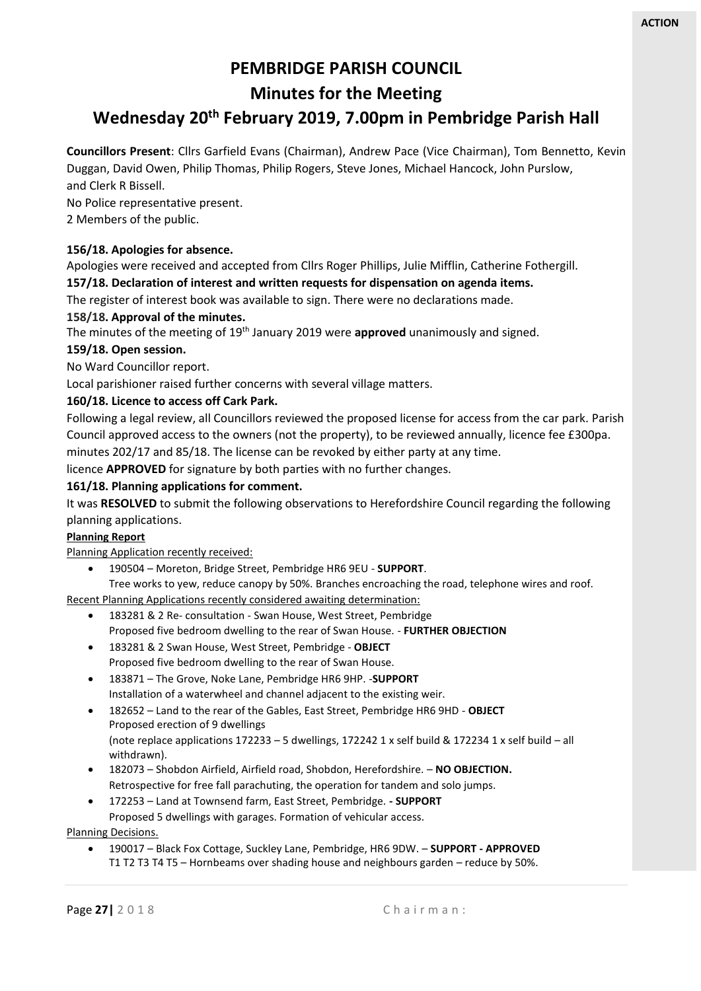# **PEMBRIDGE PARISH COUNCIL**

**Minutes for the Meeting**

# **Wednesday 20th February 2019, 7.00pm in Pembridge Parish Hall**

**Councillors Present**: Cllrs Garfield Evans (Chairman), Andrew Pace (Vice Chairman), Tom Bennetto, Kevin Duggan, David Owen, Philip Thomas, Philip Rogers, Steve Jones, Michael Hancock, John Purslow, and Clerk R Bissell.

No Police representative present.

2 Members of the public.

#### **156/18. Apologies for absence.**

Apologies were received and accepted from Cllrs Roger Phillips, Julie Mifflin, Catherine Fothergill. **157/18. Declaration of interest and written requests for dispensation on agenda items.**

The register of interest book was available to sign. There were no declarations made.

#### **158/18. Approval of the minutes.**

The minutes of the meeting of 19th January 2019 were **approved** unanimously and signed.

#### **159/18. Open session.**

No Ward Councillor report.

Local parishioner raised further concerns with several village matters.

### **160/18. Licence to access off Cark Park.**

Following a legal review, all Councillors reviewed the proposed license for access from the car park. Parish Council approved access to the owners (not the property), to be reviewed annually, licence fee £300pa. minutes 202/17 and 85/18. The license can be revoked by either party at any time.

licence **APPROVED** for signature by both parties with no further changes.

#### **161/18. Planning applications for comment.**

It was **RESOLVED** to submit the following observations to Herefordshire Council regarding the following planning applications.

#### **Planning Report**

Planning Application recently received:

• 190504 – Moreton, Bridge Street, Pembridge HR6 9EU - **SUPPORT**.

Tree works to yew, reduce canopy by 50%. Branches encroaching the road, telephone wires and roof.

Recent Planning Applications recently considered awaiting determination:

- 183281 & 2 Re- consultation Swan House, West Street, Pembridge Proposed five bedroom dwelling to the rear of Swan House. - **FURTHER OBJECTION**
- 183281 & 2 Swan House, West Street, Pembridge **OBJECT** Proposed five bedroom dwelling to the rear of Swan House.
- 183871 The Grove, Noke Lane, Pembridge HR6 9HP. -**SUPPORT** Installation of a waterwheel and channel adjacent to the existing weir.
- 182652 Land to the rear of the Gables, East Street, Pembridge HR6 9HD **OBJECT** Proposed erection of 9 dwellings (note replace applications 172233 – 5 dwellings, 172242 1 x self build & 172234 1 x self build – all withdrawn).
- 182073 Shobdon Airfield, Airfield road, Shobdon, Herefordshire. **NO OBJECTION.** Retrospective for free fall parachuting, the operation for tandem and solo jumps.
- 172253 Land at Townsend farm, East Street, Pembridge. **- SUPPORT** Proposed 5 dwellings with garages. Formation of vehicular access.

Planning Decisions.

• 190017 – Black Fox Cottage, Suckley Lane, Pembridge, HR6 9DW. – **SUPPORT - APPROVED** T1 T2 T3 T4 T5 – Hornbeams over shading house and neighbours garden – reduce by 50%.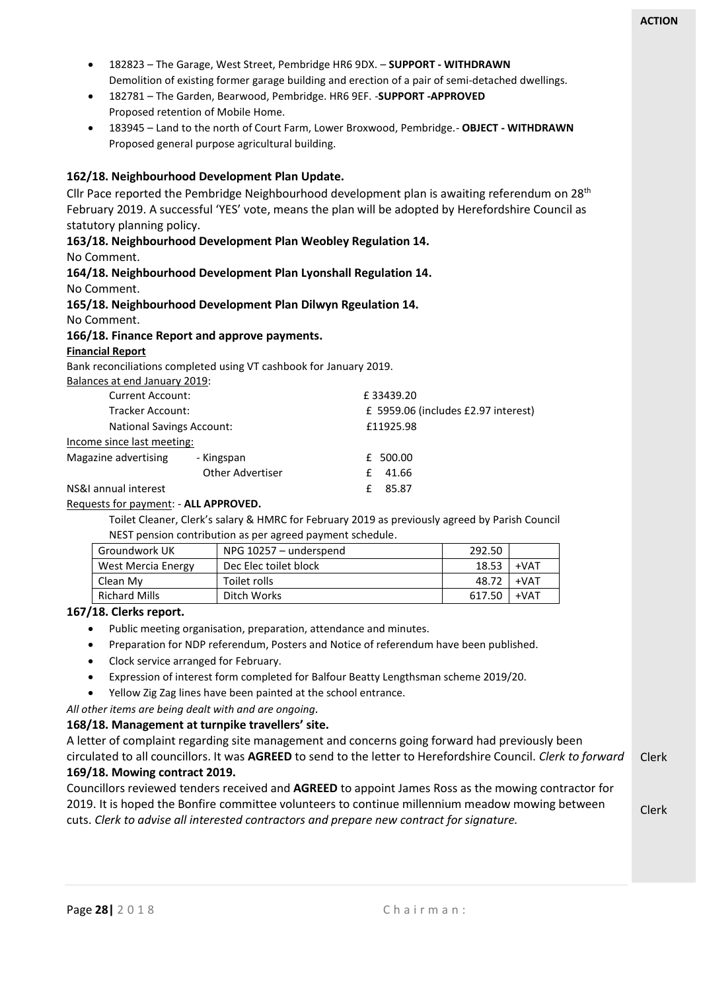- 182823 The Garage, West Street, Pembridge HR6 9DX. **SUPPORT - WITHDRAWN** Demolition of existing former garage building and erection of a pair of semi-detached dwellings.
- 182781 The Garden, Bearwood, Pembridge. HR6 9EF. -**SUPPORT -APPROVED** Proposed retention of Mobile Home.
- 183945 Land to the north of Court Farm, Lower Broxwood, Pembridge.- **OBJECT - WITHDRAWN** Proposed general purpose agricultural building.

#### **162/18. Neighbourhood Development Plan Update.**

Cllr Pace reported the Pembridge Neighbourhood development plan is awaiting referendum on  $28<sup>th</sup>$ February 2019. A successful 'YES' vote, means the plan will be adopted by Herefordshire Council as statutory planning policy.

**163/18. Neighbourhood Development Plan Weobley Regulation 14.**

No Comment.

## **164/18. Neighbourhood Development Plan Lyonshall Regulation 14.**

No Comment.

#### **165/18. Neighbourhood Development Plan Dilwyn Rgeulation 14.**

No Comment.

#### **166/18. Finance Report and approve payments.**

#### **Financial Report**

Bank reconciliations completed using VT cashbook for January 2019.

Balances at end January 2019:

| <b>Current Account:</b>    |                         | £33439.20                           |
|----------------------------|-------------------------|-------------------------------------|
| <b>Tracker Account:</b>    |                         | £ 5959.06 (includes £2.97 interest) |
| National Savings Account:  |                         | £11925.98                           |
| Income since last meeting: |                         |                                     |
| Magazine advertising       | - Kingspan              | £ 500.00                            |
|                            | <b>Other Advertiser</b> | 41.66                               |
| NS&I annual interest       |                         | 85.87                               |

#### Requests for payment: - **ALL APPROVED.**

Toilet Cleaner, Clerk's salary & HMRC for February 2019 as previously agreed by Parish Council NEST pension contribution as per agreed payment schedule.

| Groundwork UK      | NPG 10257 - underspend | 292.50 |        |
|--------------------|------------------------|--------|--------|
| West Mercia Energy | Dec Elec toilet block  | 18.53  | $+VAT$ |
| Clean My           | Toilet rolls           | 48.72  | $+VAT$ |
| Richard Mills      | Ditch Works            | 617.50 | $+VAT$ |

#### **167/18. Clerks report.**

- Public meeting organisation, preparation, attendance and minutes.
- Preparation for NDP referendum, Posters and Notice of referendum have been published.
- Clock service arranged for February.
- Expression of interest form completed for Balfour Beatty Lengthsman scheme 2019/20.
- Yellow Zig Zag lines have been painted at the school entrance.

*All other items are being dealt with and are ongoing.*

#### **168/18. Management at turnpike travellers' site.**

Clerk A letter of complaint regarding site management and concerns going forward had previously been circulated to all councillors. It was **AGREED** to send to the letter to Herefordshire Council. *Clerk to forward* **169/18. Mowing contract 2019.**

Councillors reviewed tenders received and **AGREED** to appoint James Ross as the mowing contractor for 2019. It is hoped the Bonfire committee volunteers to continue millennium meadow mowing between cuts. *Clerk to advise all interested contractors and prepare new contract for signature.*

Clerk